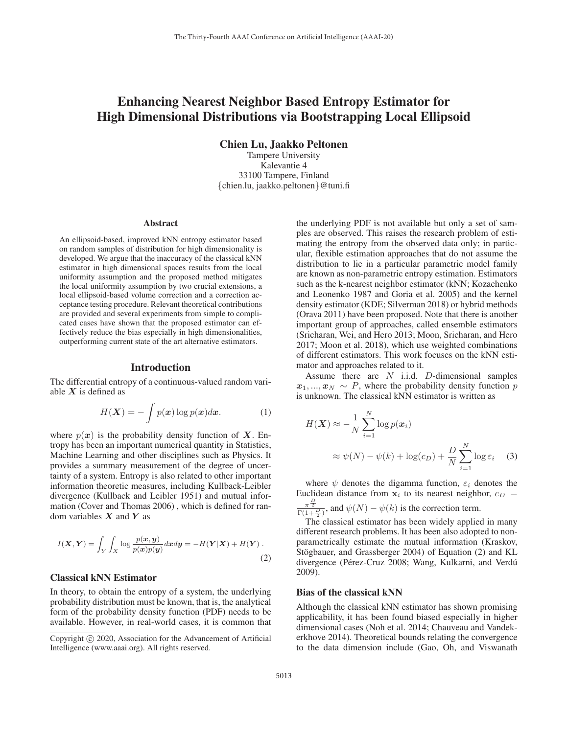# Enhancing Nearest Neighbor Based Entropy Estimator for High Dimensional Distributions via Bootstrapping Local Ellipsoid

Chien Lu, Jaakko Peltonen

Tampere University Kalevantie 4 33100 Tampere, Finland {chien.lu, jaakko.peltonen}@tuni.fi

#### Abstract

An ellipsoid-based, improved kNN entropy estimator based on random samples of distribution for high dimensionality is developed. We argue that the inaccuracy of the classical kNN estimator in high dimensional spaces results from the local uniformity assumption and the proposed method mitigates the local uniformity assumption by two crucial extensions, a local ellipsoid-based volume correction and a correction acceptance testing procedure. Relevant theoretical contributions are provided and several experiments from simple to complicated cases have shown that the proposed estimator can effectively reduce the bias especially in high dimensionalities, outperforming current state of the art alternative estimators.

### Introduction

The differential entropy of a continuous-valued random variable *X* is defined as

$$
H(\boldsymbol{X}) = -\int p(\boldsymbol{x}) \log p(\boldsymbol{x}) d\boldsymbol{x}.
$$
 (1)

where  $p(x)$  is the probability density function of X. Entropy has been an important numerical quantity in Statistics, Machine Learning and other disciplines such as Physics. It provides a summary measurement of the degree of uncertainty of a system. Entropy is also related to other important information theoretic measures, including Kullback-Leibler divergence (Kullback and Leibler 1951) and mutual information (Cover and Thomas 2006) , which is defined for random variables *X* and *Y* as

$$
I(\mathbf{X}, \mathbf{Y}) = \int_{Y} \int_{X} \log \frac{p(\mathbf{x}, \mathbf{y})}{p(\mathbf{x}) p(\mathbf{y})} d\mathbf{x} d\mathbf{y} = -H(\mathbf{Y}|\mathbf{X}) + H(\mathbf{Y}).
$$
\n(2)

## Classical kNN Estimator

In theory, to obtain the entropy of a system, the underlying probability distribution must be known, that is, the analytical form of the probability density function (PDF) needs to be available. However, in real-world cases, it is common that

the underlying PDF is not available but only a set of samples are observed. This raises the research problem of estimating the entropy from the observed data only; in particular, flexible estimation approaches that do not assume the distribution to lie in a particular parametric model family are known as non-parametric entropy estimation. Estimators such as the k-nearest neighbor estimator (kNN; Kozachenko and Leonenko 1987 and Goria et al. 2005) and the kernel density estimator (KDE; Silverman 2018) or hybrid methods (Orava 2011) have been proposed. Note that there is another important group of approaches, called ensemble estimators (Sricharan, Wei, and Hero 2013; Moon, Sricharan, and Hero 2017; Moon et al. 2018), which use weighted combinations of different estimators. This work focuses on the kNN estimator and approaches related to it.

Assume there are  $N$  i.i.d.  $D$ -dimensional samples  $x_1, \ldots, x_N \sim P$ , where the probability density function p is unknown. The classical kNN estimator is written as

$$
H(\boldsymbol{X}) \approx -\frac{1}{N} \sum_{i=1}^{N} \log p(\boldsymbol{x}_i)
$$
  
 
$$
\approx \psi(N) - \psi(k) + \log(c_D) + \frac{D}{N} \sum_{i=1}^{N} \log \varepsilon_i \quad (3)
$$

where  $\psi$  denotes the digamma function,  $\varepsilon_i$  denotes the Euclidean distance from  $x_i$  to its nearest neighbor,  $c_D$  =  $\frac{\pi^{\frac{D}{2}}}{\Gamma(1+\frac{D}{2})}$ , and  $\psi(N) - \psi(k)$  is the correction term.

The classical estimator has been widely applied in many different research problems. It has been also adopted to nonparametrically estimate the mutual information (Kraskov, Stögbauer, and Grassberger 2004) of Equation (2) and KL divergence (Pérez-Cruz 2008; Wang, Kulkarni, and Verdú 2009).

### Bias of the classical kNN

Although the classical kNN estimator has shown promising applicability, it has been found biased especially in higher dimensional cases (Noh et al. 2014; Chauveau and Vandekerkhove 2014). Theoretical bounds relating the convergence to the data dimension include (Gao, Oh, and Viswanath

Copyright  $\odot$  2020, Association for the Advancement of Artificial Intelligence (www.aaai.org). All rights reserved.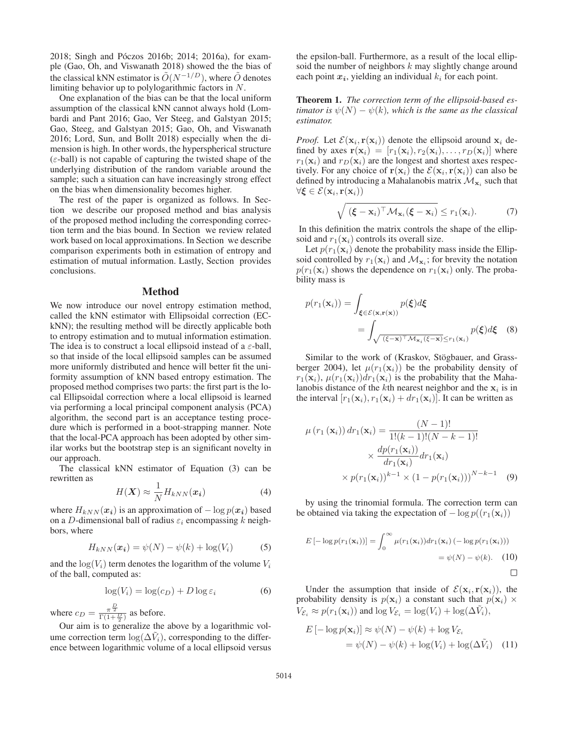2018; Singh and Póczos 2016b; 2014; 2016a), for example (Gao, Oh, and Viswanath 2018) showed the the bias of the classical kNN estimator is  $\tilde{O}(N^{-1/D})$ , where  $\tilde{O}$  denotes limiting behavior up to polylogarithmic factors in N.

One explanation of the bias can be that the local uniform assumption of the classical kNN cannot always hold (Lombardi and Pant 2016; Gao, Ver Steeg, and Galstyan 2015; Gao, Steeg, and Galstyan 2015; Gao, Oh, and Viswanath 2016; Lord, Sun, and Bollt 2018) especially when the dimension is high. In other words, the hyperspherical structure  $(\varepsilon$ -ball) is not capable of capturing the twisted shape of the underlying distribution of the random variable around the sample; such a situation can have increasingly strong effect on the bias when dimensionality becomes higher.

The rest of the paper is organized as follows. In Section we describe our proposed method and bias analysis of the proposed method including the corresponding correction term and the bias bound. In Section we review related work based on local approximations. In Section we describe comparison experiments both in estimation of entropy and estimation of mutual information. Lastly, Section provides conclusions.

### Method

We now introduce our novel entropy estimation method, called the kNN estimator with Ellipsoidal correction (ECkNN); the resulting method will be directly applicable both to entropy estimation and to mutual information estimation. The idea is to construct a local ellipsoid instead of a  $\varepsilon$ -ball, so that inside of the local ellipsoid samples can be assumed more uniformly distributed and hence will better fit the uniformity assumption of kNN based entropy estimation. The proposed method comprises two parts: the first part is the local Ellipsoidal correction where a local ellipsoid is learned via performing a local principal component analysis (PCA) algorithm, the second part is an acceptance testing procedure which is performed in a boot-strapping manner. Note that the local-PCA approach has been adopted by other similar works but the bootstrap step is an significant novelty in our approach.

The classical kNN estimator of Equation (3) can be rewritten as

$$
H(\boldsymbol{X}) \approx \frac{1}{N} H_{kNN}(\boldsymbol{x_i})
$$
\n(4)

where  $H_{kNN}(x_i)$  is an approximation of  $-\log p(x_i)$  based on a D-dimensional ball of radius  $\varepsilon_i$  encompassing k neighbors, where

$$
H_{kNN}(\boldsymbol{x_i}) = \psi(N) - \psi(k) + \log(V_i)
$$
 (5)

and the  $log(V_i)$  term denotes the logarithm of the volume  $V_i$ of the ball, computed as:

$$
\log(V_i) = \log(c_D) + D \log \varepsilon_i \tag{6}
$$

where  $c_D = \frac{\pi^{\frac{D}{2}}}{\Gamma(1+\frac{D}{2})}$  as before.

Our aim is to generalize the above by a logarithmic volume correction term  $\log(\Delta V_i)$ , corresponding to the difference between logarithmic volume of a local ellipsoid versus the epsilon-ball. Furthermore, as a result of the local ellipsoid the number of neighbors  $k$  may slightly change around each point  $x_i$ , yielding an individual  $k_i$  for each point.

Theorem 1. *The correction term of the ellipsoid-based estimator is*  $\psi(N) - \psi(k)$ *, which is the same as the classical estimator.*

*Proof.* Let  $\mathcal{E}(\mathbf{x}_i, \mathbf{r}(\mathbf{x}_i))$  denote the ellipsoid around  $\mathbf{x}_i$  defined by axes  $\mathbf{r}(\mathbf{x}_i)=[r_1(\mathbf{x}_i), r_2(\mathbf{x}_i), \ldots, r_D(\mathbf{x}_i)]$  where  $r_1(\mathbf{x}_i)$  and  $r_D(\mathbf{x}_i)$  are the longest and shortest axes respectively. For any choice of  $\mathbf{r}(\mathbf{x}_i)$  the  $\mathcal{E}(\mathbf{x}_i, \mathbf{r}(\mathbf{x}_i))$  can also be defined by introducing a Mahalanobis matrix  $\mathcal{M}_{\mathbf{x}_i}$  such that  $\forall$ **ξ** ∈  $\mathcal{E}(\mathbf{x}_i, \mathbf{r}(\mathbf{x}_i))$ 

$$
\sqrt{(\boldsymbol{\xi} - \mathbf{x}_i)^{\top} \mathcal{M}_{\mathbf{x}_i}(\boldsymbol{\xi} - \mathbf{x}_i)} \leq r_1(\mathbf{x}_i). \tag{7}
$$

In this definition the matrix controls the shape of the ellipsoid and  $r_1(\mathbf{x}_i)$  controls its overall size.

Let  $p(r_1(\mathbf{x}_i))$  denote the probability mass inside the Ellipsoid controlled by  $r_1(\mathbf{x}_i)$  and  $\mathcal{M}_{\mathbf{x}_i}$ ; for brevity the notation  $p(r_1(\mathbf{x}_i))$  shows the dependence on  $r_1(\mathbf{x}_i)$  only. The probability mass is

$$
p(r_1(\mathbf{x}_i)) = \int_{\xi \in \mathcal{E}(\mathbf{x}, \mathbf{r}(\mathbf{x}))} p(\xi) d\xi
$$
  
= 
$$
\int_{\sqrt{(\xi - \mathbf{x})^\top \mathcal{M}_{\mathbf{x}_i}(\xi - \mathbf{x})} \le r_1(\mathbf{x}_i)} p(\xi) d\xi
$$
 (8)

Similar to the work of (Kraskov, Stögbauer, and Grassberger 2004), let  $\mu(r_1(\mathbf{x}_i))$  be the probability density of  $r_1(\mathbf{x}_i)$ ,  $\mu(r_1(\mathbf{x}_i))dr_1(\mathbf{x}_i)$  is the probability that the Mahalanobis distance of the kth nearest neighbor and the  $x_i$  is in the interval  $[r_1(\mathbf{x}_i), r_1(\mathbf{x}_i) + dr_1(\mathbf{x}_i)]$ . It can be written as

$$
\mu(r_1(\mathbf{x}_i)) dr_1(\mathbf{x}_i) = \frac{(N-1)!}{1!(k-1)!(N-k-1)!}
$$

$$
\times \frac{dp(r_1(\mathbf{x}_i))}{dr_1(\mathbf{x}_i)} dr_1(\mathbf{x}_i)
$$

$$
\times p(r_1(\mathbf{x}_i))^{k-1} \times (1 - p(r_1(\mathbf{x}_i)))^{N-k-1}
$$
(9)

by using the trinomial formula. The correction term can be obtained via taking the expectation of  $-\log p((r_1(\mathbf{x}_i)))$ 

$$
E\left[-\log p(r_1(\mathbf{x}_i))\right] = \int_0^\infty \mu(r_1(\mathbf{x}_i)) dr_1(\mathbf{x}_i) \left(-\log p(r_1(\mathbf{x}_i))\right)
$$

$$
= \psi(N) - \psi(k). \quad (10)
$$

Under the assumption that inside of  $\mathcal{E}(\mathbf{x}_i, \mathbf{r}(\mathbf{x}_i))$ , the probability density is  $p(\mathbf{x}_i)$  a constant such that  $p(\mathbf{x}_i) \times$  $V_{\mathcal{E}_i} \approx p(r_1(\mathbf{x}_i))$  and  $\log V_{\mathcal{E}_i} = \log(V_i) + \log(\Delta \tilde{V}_i)$ ,

$$
E\left[-\log p(\mathbf{x}_i)\right] \approx \psi(N) - \psi(k) + \log V_{\mathcal{E}_i}
$$

$$
= \psi(N) - \psi(k) + \log(V_i) + \log(\Delta \tilde{V}_i) \quad (11)
$$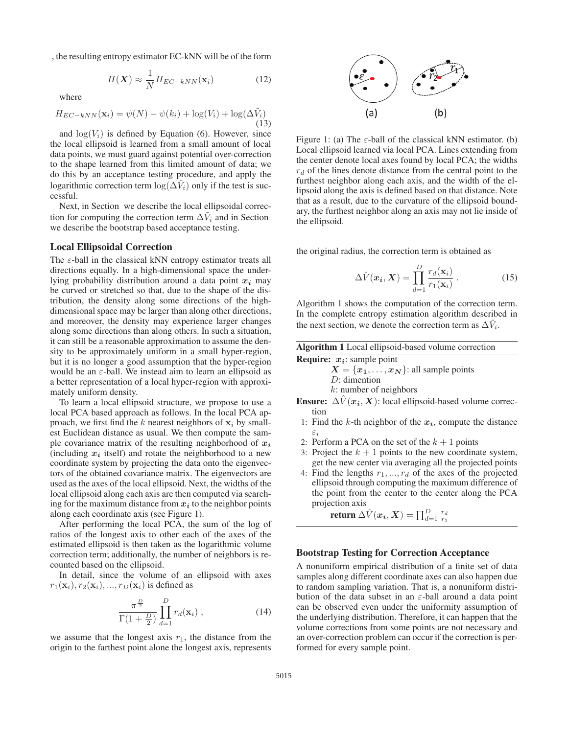, the resulting entropy estimator EC-kNN will be of the form

$$
H(\mathbf{X}) \approx \frac{1}{N} H_{EC-kNN}(\mathbf{x}_i)
$$
 (12)

where

$$
H_{EC-kNN}(\mathbf{x}_i) = \psi(N) - \psi(k_i) + \log(V_i) + \log(\Delta \tilde{V}_i)
$$
\n(13)

and  $log(V_i)$  is defined by Equation (6). However, since the local ellipsoid is learned from a small amount of local data points, we must guard against potential over-correction to the shape learned from this limited amount of data; we do this by an acceptance testing procedure, and apply the logarithmic correction term  $\log(\Delta V_i)$  only if the test is successful.

Next, in Section we describe the local ellipsoidal correction for computing the correction term  $\Delta V_i$  and in Section we describe the bootstrap based acceptance testing.

### Local Ellipsoidal Correction

The  $\varepsilon$ -ball in the classical kNN entropy estimator treats all directions equally. In a high-dimensional space the underlying probability distribution around a data point *x<sup>i</sup>* may be curved or stretched so that, due to the shape of the distribution, the density along some directions of the highdimensional space may be larger than along other directions, and moreover, the density may experience larger changes along some directions than along others. In such a situation, it can still be a reasonable approximation to assume the density to be approximately uniform in a small hyper-region, but it is no longer a good assumption that the hyper-region would be an  $\varepsilon$ -ball. We instead aim to learn an ellipsoid as a better representation of a local hyper-region with approximately uniform density.

To learn a local ellipsoid structure, we propose to use a local PCA based approach as follows. In the local PCA approach, we first find the k nearest neighbors of  $x_i$  by smallest Euclidean distance as usual. We then compute the sample covariance matrix of the resulting neighborhood of  $x_i$ (including  $x_i$  itself) and rotate the neighborhood to a new coordinate system by projecting the data onto the eigenvectors of the obtained covariance matrix. The eigenvectors are used as the axes of the local ellipsoid. Next, the widths of the local ellipsoid along each axis are then computed via searching for the maximum distance from  $x_i$  to the neighbor points along each coordinate axis (see Figure 1).

After performing the local PCA, the sum of the log of ratios of the longest axis to other each of the axes of the estimated ellipsoid is then taken as the logarithmic volume correction term; additionally, the number of neighbors is recounted based on the ellipsoid.

In detail, since the volume of an ellipsoid with axes  $r_1(\mathbf{x}_i), r_2(\mathbf{x}_i), ..., r_D(\mathbf{x}_i)$  is defined as

$$
\frac{\pi^{\frac{D}{2}}}{\Gamma(1+\frac{D}{2})}\prod_{d=1}^{D}r_d(\mathbf{x}_i)\,,\tag{14}
$$

we assume that the longest axis  $r_1$ , the distance from the origin to the farthest point alone the longest axis, represents



Figure 1: (a) The  $\varepsilon$ -ball of the classical kNN estimator. (b) Local ellipsoid learned via local PCA. Lines extending from the center denote local axes found by local PCA; the widths  $r_d$  of the lines denote distance from the central point to the furthest neighbor along each axis, and the width of the ellipsoid along the axis is defined based on that distance. Note that as a result, due to the curvature of the ellipsoid boundary, the furthest neighbor along an axis may not lie inside of the ellipsoid.

the original radius, the correction term is obtained as

$$
\Delta \hat{V}(\boldsymbol{x}_i, \boldsymbol{X}) = \prod_{d=1}^{D} \frac{r_d(\mathbf{x}_i)}{r_1(\mathbf{x}_i)} .
$$
 (15)

Algorithm 1 shows the computation of the correction term. In the complete entropy estimation algorithm described in the next section, we denote the correction term as  $\Delta V_i$ .

| Algorithm 1 Local ellipsoid-based volume correction |  |
|-----------------------------------------------------|--|
|-----------------------------------------------------|--|

Require: *xi*: sample point  $X = \{x_1, \ldots, x_N\}$ : all sample points D: dimention k: number of neighbors

**Ensure:**  $\Delta V(x_i, X)$ : local ellipsoid-based volume correction

- 1: Find the  $k$ -th neighbor of the  $x_i$ , compute the distance εi
- 2: Perform a PCA on the set of the  $k + 1$  points
- 3: Project the  $k + 1$  points to the new coordinate system, get the new center via averaging all the projected points
- 4: Find the lengths  $r_1, ..., r_d$  of the axes of the projected ellipsoid through computing the maximum difference of the point from the center to the center along the PCA projection axis

return  $\Delta \hat{V}(\boldsymbol{x_i}, \boldsymbol{X}) = \prod_{d=1}^{D} \frac{r_d}{r_1}$ 

### Bootstrap Testing for Correction Acceptance

A nonuniform empirical distribution of a finite set of data samples along different coordinate axes can also happen due to random sampling variation. That is, a nonuniform distribution of the data subset in an  $\varepsilon$ -ball around a data point can be observed even under the uniformity assumption of the underlying distribution. Therefore, it can happen that the volume corrections from some points are not necessary and an over-correction problem can occur if the correction is performed for every sample point.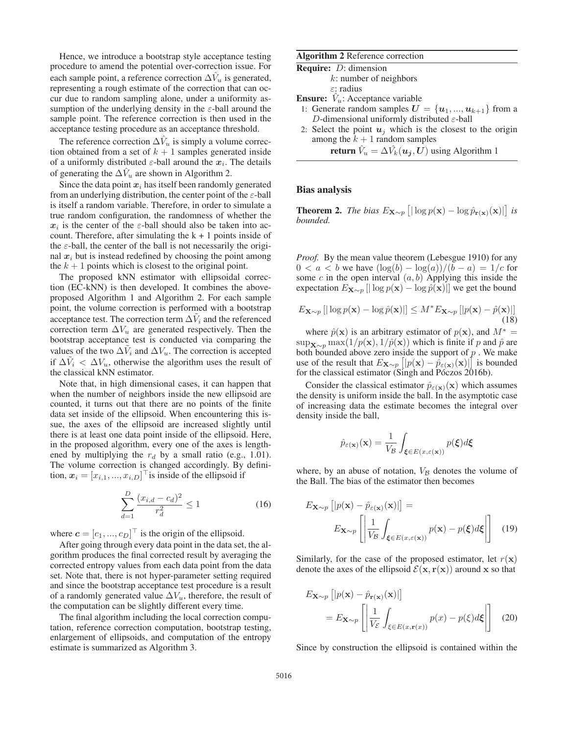Hence, we introduce a bootstrap style acceptance testing procedure to amend the potential over-correction issue. For each sample point, a reference correction  $\Delta V_u$  is generated, representing a rough estimate of the correction that can occur due to random sampling alone, under a uniformity assumption of the underlying density in the  $\varepsilon$ -ball around the sample point. The reference correction is then used in the acceptance testing procedure as an acceptance threshold.

The reference correction  $\Delta V_u$  is simply a volume correction obtained from a set of  $k + 1$  samples generated inside of a uniformly distributed  $\varepsilon$ -ball around the  $x_i$ . The details of generating the  $\Delta V_u$  are shown in Algorithm 2.

Since the data point  $x_i$  has itself been randomly generated from an underlying distribution, the center point of the  $\varepsilon$ -ball is itself a random variable. Therefore, in order to simulate a true random configuration, the randomness of whether the  $x_i$  is the center of the  $\varepsilon$ -ball should also be taken into account. Therefore, after simulating the  $k + 1$  points inside of the  $\varepsilon$ -ball, the center of the ball is not necessarily the original  $x_i$  but is instead redefined by choosing the point among the  $k + 1$  points which is closest to the original point.

The proposed kNN estimator with ellipsoidal correction (EC-kNN) is then developed. It combines the aboveproposed Algorithm 1 and Algorithm 2. For each sample point, the volume correction is performed with a bootstrap acceptance test. The correction term  $\Delta V_i$  and the referenced correction term  $\Delta V_u$  are generated respectively. Then the bootstrap acceptance test is conducted via comparing the values of the two  $\Delta V_i$  and  $\Delta V_u$ . The correction is accepted if  $\Delta V_i < \Delta V_u$ , otherwise the algorithm uses the result of the classical kNN estimator.

Note that, in high dimensional cases, it can happen that when the number of neighbors inside the new ellipsoid are counted, it turns out that there are no points of the finite data set inside of the ellipsoid. When encountering this issue, the axes of the ellipsoid are increased slightly until there is at least one data point inside of the ellipsoid. Here, in the proposed algorithm, every one of the axes is lengthened by multiplying the  $r_d$  by a small ratio (e.g., 1.01). The volume correction is changed accordingly. By definition,  $x_i = [x_{i,1}, ..., x_{i,D}]$ <sup> $\perp$ </sup> is inside of the ellipsoid if

$$
\sum_{d=1}^{D} \frac{(x_{i,d} - c_d)^2}{r_d^2} \le 1
$$
\n(16)

where  $\mathbf{c} = [c_1, ..., c_D]^\top$  is the origin of the ellipsoid.

After going through every data point in the data set, the algorithm produces the final corrected result by averaging the corrected entropy values from each data point from the data set. Note that, there is not hyper-parameter setting required and since the bootstrap acceptance test procedure is a result of a randomly generated value  $\Delta V_u$ , therefore, the result of the computation can be slightly different every time.

The final algorithm including the local correction computation, reference correction computation, bootstrap testing, enlargement of ellipsoids, and computation of the entropy estimate is summarized as Algorithm 3.

### Algorithm 2 Reference correction

Require: D: dimension

| $k$ : number of neighbors |  |
|---------------------------|--|
| $\varepsilon$ : radius    |  |

- **Ensure:**  $V_u$ : Acceptance variable
- 1: Generate random samples  $U = \{u_1, ..., u_{k+1}\}\$ from a D-dimensional uniformly distributed  $\varepsilon$ -ball
- 2: Select the point  $u_j$  which is the closest to the origin among the  $k + 1$  random samples

**return**  $\hat{V}_u = \Delta \hat{V}_k(\boldsymbol{u_j}, \boldsymbol{U})$  using Algorithm 1

### Bias analysis

**Theorem 2.** *The bias*  $E_{\mathbf{X} \sim p}$   $\left[ |\log p(\mathbf{x}) - \log \hat{p}_{\mathbf{r}(\mathbf{x})}(\mathbf{x})| \right]$  *is bounded.*

*Proof.* By the mean value theorem (Lebesgue 1910) for any  $0 < a < b$  we have  $(\log(b) - \log(a))/(b - a) = 1/c$  for some c in the open interval  $(a, b)$  Applying this inside the expectation  $E_{\mathbf{X} \sim p}$  [ $|\log p(\mathbf{x}) - \log \hat{p}(\mathbf{x})|$ ] we get the bound

$$
E_{\mathbf{X} \sim p} \left[ |\log p(\mathbf{x}) - \log \hat{p}(\mathbf{x})| \right] \le M^* E_{\mathbf{X} \sim p} \left[ |p(\mathbf{x}) - \hat{p}(\mathbf{x})| \right] \tag{18}
$$

where  $\hat{p}(\mathbf{x})$  is an arbitrary estimator of  $p(\mathbf{x})$ , and  $M^* =$ sup<sub>**X**∼p</sub> max(1/p(**x**), 1/ $\hat{p}$ (**x**)) which is finite if p and  $\hat{p}$  are both bounded above zero inside the support of  $p$ . We make use of the result that  $E_{\mathbf{X} \sim p} \left[ |p(\mathbf{x}) - \hat{p}_{\varepsilon(\mathbf{x})}(\mathbf{x})| \right]$  is bounded for the classical estimator (Singh and Póczos  $2016b$ ).

Consider the classical estimator  $\hat{p}_{\varepsilon(\mathbf{x})}(\mathbf{x})$  which assumes the density is uniform inside the ball. In the asymptotic case of increasing data the estimate becomes the integral over density inside the ball,

$$
\hat{p}_{\varepsilon(\mathbf{x})}(\mathbf{x}) = \frac{1}{V_{\mathcal{B}}} \int_{\xi \in E(x,\varepsilon(\mathbf{x}))} p(\xi) d\xi
$$

where, by an abuse of notation,  $V_B$  denotes the volume of the Ball. The bias of the estimator then becomes

$$
E_{\mathbf{X} \sim p} \left[ |p(\mathbf{x}) - \hat{p}_{\varepsilon(\mathbf{x})}(\mathbf{x})| \right] =
$$
  

$$
E_{\mathbf{X} \sim p} \left[ \left| \frac{1}{V_{\mathcal{B}}} \int_{\xi \in E(x, \varepsilon(\mathbf{x}))} p(\mathbf{x}) - p(\xi) d\xi \right| \right] \quad (19)
$$

Similarly, for the case of the proposed estimator, let  $r(\mathbf{x})$ denote the axes of the ellipsoid  $\mathcal{E}(\mathbf{x}, \mathbf{r}(\mathbf{x}))$  around **x** so that

$$
E_{\mathbf{X} \sim p} \left[ |p(\mathbf{x}) - \hat{p}_{\mathbf{r}(\mathbf{x})}(\mathbf{x})| \right]
$$
  
=  $E_{\mathbf{X} \sim p} \left[ \left| \frac{1}{V_{\mathcal{E}}} \int_{\xi \in E(x, \mathbf{r}(x))} p(x) - p(\xi) d\xi \right| \right]$  (20)

Since by construction the ellipsoid is contained within the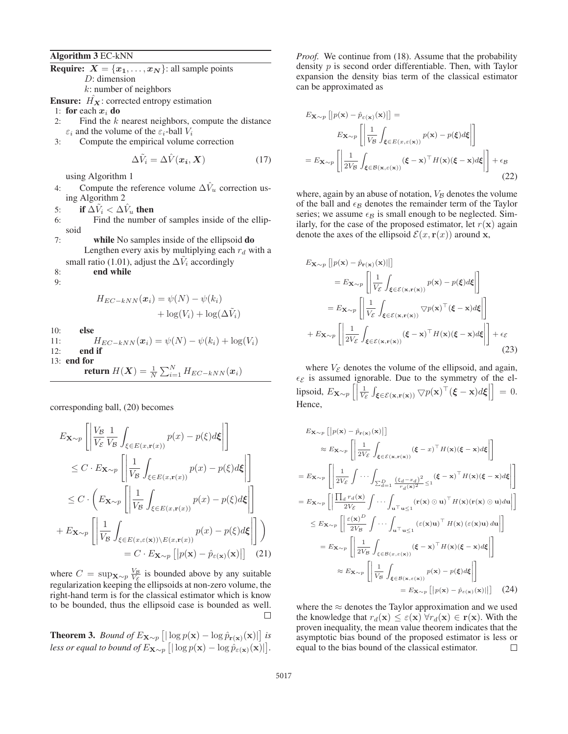Algorithm 3 EC-kNN

**Require:**  $X = \{x_1, \ldots, x_N\}$ : all sample points

D: dimension

 $k$ : number of neighbors **Ensure:**  $\hat{H_X}$ : corrected entropy estimation

- 1: for each  $x_i$  do
- 2: Find the  $k$  nearest neighbors, compute the distance  $\varepsilon_i$  and the volume of the  $\varepsilon_i$ -ball  $V_i$
- 3: Compute the empirical volume correction

$$
\Delta \tilde{V}_i = \Delta \hat{V}(\boldsymbol{x_i}, \boldsymbol{X}) \tag{17}
$$

using Algorithm 1

4: Compute the reference volume  $\Delta V_u$  correction using Algorithm 2

5: if  $\Delta V_i < \Delta V_i$ , then

- 6: Find the number of samples inside of the ellipsoid
- 7: while No samples inside of the ellipsoid do Lengthen every axis by multiplying each  $r_d$  with a small ratio (1.01), adjust the  $\Delta V_i$  accordingly
- 8: end while
- 9:

$$
H_{EC-kNN}(\boldsymbol{x}_i) = \psi(N) - \psi(k_i) + \log(V_i) + \log(\Delta \tilde{V}_i)
$$

10: else

11:  $H_{EC-kNN}(x_i) = \psi(N) - \psi(k_i) + \log(V_i)$ <br>12: **end if** end if 13: end for

return 
$$
H(\boldsymbol{X}) = \frac{1}{N} \sum_{i=1}^{N} H_{EC-kNN}(\boldsymbol{x}_i)
$$

corresponding ball, (20) becomes

$$
E_{\mathbf{X} \sim p} \left[ \left| \frac{V_{\mathcal{B}}}{V_{\mathcal{E}}} \frac{1}{V_{\mathcal{B}}} \int_{\xi \in E(x, \mathbf{r}(x))} p(x) - p(\xi) d\xi \right| \right]
$$
  
\n
$$
\leq C \cdot E_{\mathbf{X} \sim p} \left[ \left| \frac{1}{V_{\mathcal{B}}} \int_{\xi \in E(x, \mathbf{r}(x))} p(x) - p(\xi) d\xi \right| \right]
$$
  
\n
$$
\leq C \cdot \left( E_{\mathbf{X} \sim p} \left[ \left| \frac{1}{V_{\mathcal{B}}} \int_{\xi \in E(x, \mathbf{r}(x))} p(x) - p(\xi) d\xi \right| \right]
$$
  
\n
$$
+ E_{\mathbf{X} \sim p} \left[ \left| \frac{1}{V_{\mathcal{B}}} \int_{\xi \in E(x, \varepsilon(x)) \setminus E(x, \mathbf{r}(x))} p(x) - p(\xi) d\xi \right| \right] \right)
$$
  
\n
$$
= C \cdot E_{\mathbf{X} \sim p} \left[ |p(\mathbf{x}) - \hat{p}_{\varepsilon}(\mathbf{x})(\mathbf{x})| \right] \quad (21)
$$

where  $C = \sup_{\mathbf{X} \sim p} \frac{V_{\mathcal{B}}}{V_{\mathcal{S}}}$  is bounded above by any suitable regularization keeping the ellipsoids at non-zero volume, the right-hand term is for the classical estimator which is know to be bounded, thus the ellipsoid case is bounded as well.  $\Box$ 

**Theorem 3.** *Bound of*  $E_{\mathbf{X} \sim p}$   $\left[ |\log p(\mathbf{x}) - \log \hat{p}_{\mathbf{r}(\mathbf{x})}(\mathbf{x})| \right]$  *is less or equal to bound of*  $E_{\mathbf{X} \sim p}$   $\left[ |\log p(\mathbf{x}) - \log \hat{p}_{\varepsilon(\mathbf{x})}(\mathbf{x})| \right]$ .

*Proof.* We continue from (18). Assume that the probability density  $p$  is second order differentiable. Then, with Taylor expansion the density bias term of the classical estimator can be approximated as

$$
E_{\mathbf{X} \sim p} \left[ |p(\mathbf{x}) - \hat{p}_{\varepsilon(\mathbf{x})}(\mathbf{x})| \right] =
$$
  
\n
$$
E_{\mathbf{X} \sim p} \left[ \left| \frac{1}{V_{\mathcal{B}}} \int_{\xi \in E(x, \varepsilon(\mathbf{x}))} p(\mathbf{x}) - p(\xi) d\xi \right| \right]
$$
  
\n
$$
= E_{\mathbf{X} \sim p} \left[ \left| \frac{1}{2V_{\mathcal{B}}} \int_{\xi \in \mathcal{B}(\mathbf{x}, \varepsilon(\mathbf{x}))} (\xi - \mathbf{x})^{\top} H(\mathbf{x}) (\xi - \mathbf{x}) d\xi \right| \right] + \epsilon_{\mathcal{B}} \tag{22}
$$

where, again by an abuse of notation,  $V_B$  denotes the volume of the ball and  $\epsilon_B$  denotes the remainder term of the Taylor series; we assume  $\epsilon_B$  is small enough to be neglected. Similarly, for the case of the proposed estimator, let  $r(\mathbf{x})$  again denote the axes of the ellipsoid  $\mathcal{E}(x, \mathbf{r}(x))$  around **x**,

$$
E_{\mathbf{X} \sim p} \left[ |p(\mathbf{x}) - \hat{p}_{\mathbf{r}(\mathbf{x})}(\mathbf{x})|| \right]
$$
  
\n
$$
= E_{\mathbf{X} \sim p} \left[ \left| \frac{1}{V_{\mathcal{E}}} \int_{\xi \in \mathcal{E}(\mathbf{x}, \mathbf{r}(\mathbf{x}))} p(\mathbf{x}) - p(\xi) d\xi \right| \right]
$$
  
\n
$$
= E_{\mathbf{X} \sim p} \left[ \left| \frac{1}{V_{\mathcal{E}}} \int_{\xi \in \mathcal{E}(\mathbf{x}, \mathbf{r}(\mathbf{x}))} \nabla p(\mathbf{x})^{\top} (\xi - \mathbf{x}) d\xi \right| \right]
$$
  
\n
$$
+ E_{\mathbf{X} \sim p} \left[ \left| \frac{1}{2V_{\mathcal{E}}} \int_{\xi \in \mathcal{E}(\mathbf{x}, \mathbf{r}(\mathbf{x}))} (\xi - \mathbf{x})^{\top} H(\mathbf{x}) (\xi - \mathbf{x}) d\xi \right| \right] + \epsilon_{\mathcal{E}}
$$
(23)

where  $V_{\mathcal{E}}$  denotes the volume of the ellipsoid, and again,  $\epsilon_{\mathcal{E}}$  is assumed ignorable. Due to the symmetry of the el- $\begin{aligned} \text{Lipsoid, } E_{\mathbf{X} \sim p} \left[ \left| \frac{1}{V_{\mathcal{E}}} \int_{\boldsymbol{\xi} \in \mathcal{E}(\mathbf{x}, \mathbf{r}(\mathbf{x}))} \nabla p(\mathbf{x})^{\top} (\boldsymbol{\xi} - \mathbf{x}) d\boldsymbol{\xi} \right| \right] = 0. \end{aligned}$ Hence,

$$
E_{\mathbf{X}\sim p} \left[ |p(\mathbf{x}) - \hat{p}_{\mathbf{r}(\mathbf{x})}(\mathbf{x})| \right]
$$
  
\n
$$
\approx E_{\mathbf{X}\sim p} \left[ \left| \frac{1}{2V_{\mathcal{E}}} \int_{\xi \in \mathcal{E}(\mathbf{x}, \mathbf{r}(\mathbf{x}))} (\xi - x)^{\top} H(\mathbf{x}) (\xi - \mathbf{x}) d\xi \right| \right]
$$
  
\n
$$
= E_{\mathbf{X}\sim p} \left[ \left| \frac{1}{2V_{\mathcal{E}}} \int \cdots \int_{\sum_{d=1}^{D} \frac{(\xi_{d} - x_{d})^{2}}{r_{d}(\mathbf{x})^{2}} \leq 1} (\xi - \mathbf{x})^{\top} H(\mathbf{x}) (\xi - \mathbf{x}) d\xi \right| \right]
$$
  
\n
$$
= E_{\mathbf{X}\sim p} \left[ \left| \frac{\prod_{d} r_{d}(\mathbf{x})}{2V_{\mathcal{E}}} \int \cdots \int_{\mathbf{u}^{\top} \mathbf{u} \leq 1} (\mathbf{r}(\mathbf{x}) \odot \mathbf{u})^{\top} H(\mathbf{x}) (\mathbf{r}(\mathbf{x}) \odot \mathbf{u}) d\mathbf{u} \right| \right]
$$
  
\n
$$
\leq E_{\mathbf{X}\sim p} \left[ \left| \frac{\varepsilon(\mathbf{x})^{D}}{2V_{\mathcal{B}}} \int \cdots \int_{\mathbf{u}^{\top} \mathbf{u} \leq 1} (\varepsilon(\mathbf{x}) \mathbf{u})^{\top} H(\mathbf{x}) (\varepsilon(\mathbf{x}) \mathbf{u}) d\mathbf{u} \right| \right]
$$
  
\n
$$
= E_{\mathbf{X}\sim p} \left[ \left| \frac{1}{2V_{\mathcal{B}}} \int_{\xi \in \mathcal{B}(\mathbf{x}, \varepsilon(\mathbf{x}))} (\xi - \mathbf{x})^{\top} H(\mathbf{x}) (\xi - \mathbf{x}) d\xi \right| \right]
$$
  
\n
$$
\approx E_{\mathbf{X}\sim p} \left[ \left| \frac{1}{V_{\mathcal{B}}} \int_{\xi \in \mathcal{B}(\mathbf{x}, \varepsilon(\mathbf{x}))} p(\mathbf{x}) - p(\xi) d\xi \
$$

where the  $\approx$  denotes the Taylor approximation and we used the knowledge that  $r_d(\mathbf{x}) \leq \varepsilon(\mathbf{x}) \,\forall r_d(\mathbf{x}) \in \mathbf{r}(\mathbf{x})$ . With the proven inequality, the mean value theorem indicates that the asymptotic bias bound of the proposed estimator is less or equal to the bias bound of the classical estimator.  $\Box$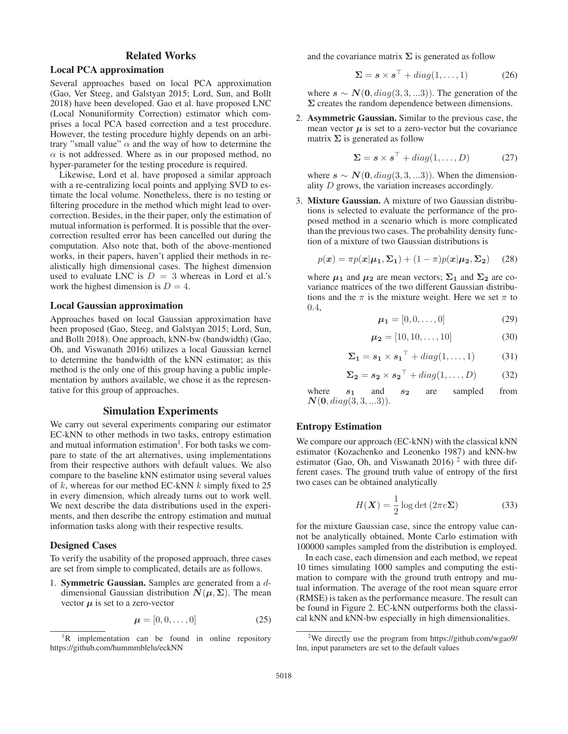## Related Works

## Local PCA approximation

Several approaches based on local PCA approximation (Gao, Ver Steeg, and Galstyan 2015; Lord, Sun, and Bollt 2018) have been developed. Gao et al. have proposed LNC (Local Nonuniformity Correction) estimator which comprises a local PCA based correction and a test procedure. However, the testing procedure highly depends on an arbitrary "small value"  $\alpha$  and the way of how to determine the  $\alpha$  is not addressed. Where as in our proposed method, no hyper-parameter for the testing procedure is required.

Likewise, Lord et al. have proposed a similar approach with a re-centralizing local points and applying SVD to estimate the local volume. Nonetheless, there is no testing or filtering procedure in the method which might lead to overcorrection. Besides, in the their paper, only the estimation of mutual information is performed. It is possible that the overcorrection resulted error has been cancelled out during the computation. Also note that, both of the above-mentioned works, in their papers, haven't applied their methods in realistically high dimensional cases. The highest dimension used to evaluate LNC is  $D = 3$  whereas in Lord et al.'s work the highest dimension is  $D = 4$ .

### Local Gaussian approximation

Approaches based on local Gaussian approximation have been proposed (Gao, Steeg, and Galstyan 2015; Lord, Sun, and Bollt 2018). One approach, kNN-bw (bandwidth) (Gao, Oh, and Viswanath 2016) utilizes a local Gaussian kernel to determine the bandwidth of the kNN estimator; as this method is the only one of this group having a public implementation by authors available, we chose it as the representative for this group of approaches.

### Simulation Experiments

We carry out several experiments comparing our estimator EC-kNN to other methods in two tasks, entropy estimation and mutual information estimation<sup>1</sup>. For both tasks we compare to state of the art alternatives, using implementations from their respective authors with default values. We also compare to the baseline kNN estimator using several values of  $k$ , whereas for our method EC-kNN  $k$  simply fixed to 25 in every dimension, which already turns out to work well. We next describe the data distributions used in the experiments, and then describe the entropy estimation and mutual information tasks along with their respective results.

### Designed Cases

To verify the usability of the proposed approach, three cases are set from simple to complicated, details are as follows.

1. Symmetric Gaussian. Samples are generated from a ddimensional Gaussian distribution  $N(\mu, \Sigma)$ . The mean vector  $\mu$  is set to a zero-vector

$$
\boldsymbol{\mu} = [0, 0, \dots, 0] \tag{25}
$$

and the covariance matrix  $\Sigma$  is generated as follow

$$
\Sigma = \mathbf{s} \times \mathbf{s}^\top + diag(1, \dots, 1) \tag{26}
$$

where  $\mathbf{s} \sim \mathbf{N}(\mathbf{0}, \text{diag}(3, 3, \ldots, 3))$ . The generation of the **Σ** creates the random dependence between dimensions.

2. Asymmetric Gaussian. Similar to the previous case, the mean vector  $\mu$  is set to a zero-vector but the covariance matrix  $\Sigma$  is generated as follow

$$
\Sigma = \mathbf{s} \times \mathbf{s}^\top + diag(1, \dots, D) \tag{27}
$$

where  $\mathbf{s} \sim \mathbf{N}(\mathbf{0}, diag(3,3,...3))$ . When the dimensionality D grows, the variation increases accordingly.

3. Mixture Gaussian. A mixture of two Gaussian distributions is selected to evaluate the performance of the proposed method in a scenario which is more complicated than the previous two cases. The probability density function of a mixture of two Gaussian distributions is

$$
p(\boldsymbol{x}) = \pi p(\boldsymbol{x}|\boldsymbol{\mu_1}, \boldsymbol{\Sigma_1}) + (1 - \pi) p(\boldsymbol{x}|\boldsymbol{\mu_2}, \boldsymbol{\Sigma_2}) \quad (28)
$$

where  $\mu_1$  and  $\mu_2$  are mean vectors;  $\Sigma_1$  and  $\Sigma_2$  are covariance matrices of the two different Gaussian distributions and the  $\pi$  is the mixture weight. Here we set  $\pi$  to 0.4,

$$
\mu_1 = [0, 0, \dots, 0] \tag{29}
$$

$$
\mu_2 = [10, 10, \dots, 10] \tag{30}
$$

$$
\Sigma_1 = s_1 \times s_1^\top + diag(1, \dots, 1) \tag{31}
$$

$$
\Sigma_2 = s_2 \times s_2^\top + diag(1, \dots, D) \tag{32}
$$

where  $s_1$  and  $s_2$  are sampled from *N*(**0**, diag(3, 3, ...3)).

### Entropy Estimation

We compare our approach (EC-kNN) with the classical kNN estimator (Kozachenko and Leonenko 1987) and kNN-bw estimator (Gao, Oh, and Viswanath  $2016$ )<sup>2</sup> with three different cases. The ground truth value of entropy of the first two cases can be obtained analytically

$$
H(\boldsymbol{X}) = \frac{1}{2} \log \det \left( 2\pi e \boldsymbol{\Sigma} \right) \tag{33}
$$

for the mixture Gaussian case, since the entropy value cannot be analytically obtained, Monte Carlo estimation with 100000 samples sampled from the distribution is employed.

In each case, each dimension and each method, we repeat 10 times simulating 1000 samples and computing the estimation to compare with the ground truth entropy and mutual information. The average of the root mean square error (RMSE) is taken as the performance measure. The result can be found in Figure 2. EC-kNN outperforms both the classical kNN and kNN-bw especially in high dimensionalities.

<sup>&</sup>lt;sup>1</sup>R implementation can be found in online repository https://github.com/hummmblelu/eckNN

<sup>&</sup>lt;sup>2</sup>We directly use the program from https://github.com/wgao9/ lnn, input parameters are set to the default values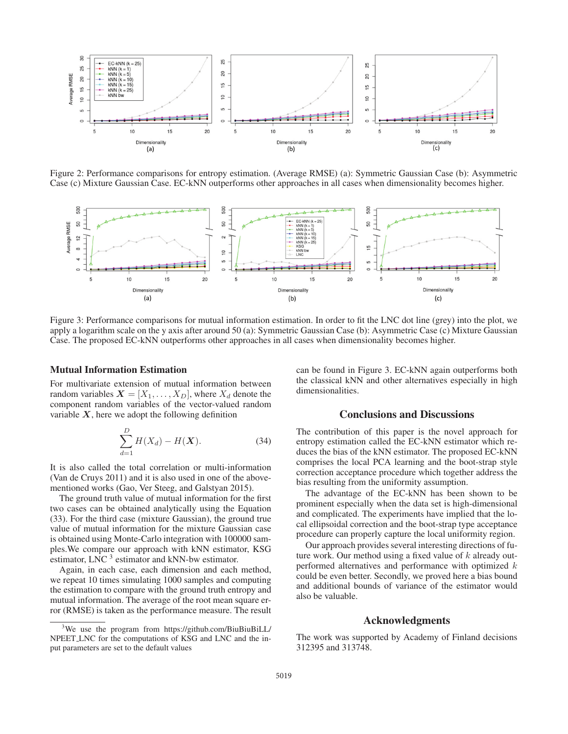

Figure 2: Performance comparisons for entropy estimation. (Average RMSE) (a): Symmetric Gaussian Case (b): Asymmetric Case (c) Mixture Gaussian Case. EC-kNN outperforms other approaches in all cases when dimensionality becomes higher.



Figure 3: Performance comparisons for mutual information estimation. In order to fit the LNC dot line (grey) into the plot, we apply a logarithm scale on the y axis after around 50 (a): Symmetric Gaussian Case (b): Asymmetric Case (c) Mixture Gaussian Case. The proposed EC-kNN outperforms other approaches in all cases when dimensionality becomes higher.

### Mutual Information Estimation

For multivariate extension of mutual information between random variables  $X = [X_1, \ldots, X_D]$ , where  $X_d$  denote the component random variables of the vector-valued random variable  $X$ , here we adopt the following definition

$$
\sum_{d=1}^{D} H(X_d) - H(X).
$$
 (34)

It is also called the total correlation or multi-information (Van de Cruys 2011) and it is also used in one of the abovementioned works (Gao, Ver Steeg, and Galstyan 2015).

The ground truth value of mutual information for the first two cases can be obtained analytically using the Equation (33). For the third case (mixture Gaussian), the ground true value of mutual information for the mixture Gaussian case is obtained using Monte-Carlo integration with 100000 samples.We compare our approach with kNN estimator, KSG estimator, LNC<sup>3</sup> estimator and kNN-bw estimator.

Again, in each case, each dimension and each method, we repeat 10 times simulating 1000 samples and computing the estimation to compare with the ground truth entropy and mutual information. The average of the root mean square error (RMSE) is taken as the performance measure. The result can be found in Figure 3. EC-kNN again outperforms both the classical kNN and other alternatives especially in high dimensionalities.

## Conclusions and Discussions

The contribution of this paper is the novel approach for entropy estimation called the EC-kNN estimator which reduces the bias of the kNN estimator. The proposed EC-kNN comprises the local PCA learning and the boot-strap style correction acceptance procedure which together address the bias resulting from the uniformity assumption.

The advantage of the EC-kNN has been shown to be prominent especially when the data set is high-dimensional and complicated. The experiments have implied that the local ellipsoidal correction and the boot-strap type acceptance procedure can properly capture the local uniformity region.

Our approach provides several interesting directions of future work. Our method using a fixed value of  $k$  already outperformed alternatives and performance with optimized k could be even better. Secondly, we proved here a bias bound and additional bounds of variance of the estimator would also be valuable.

### Acknowledgments

The work was supported by Academy of Finland decisions 312395 and 313748.

<sup>&</sup>lt;sup>3</sup>We use the program from https://github.com/BiuBiuBiLL/ NPEET LNC for the computations of KSG and LNC and the input parameters are set to the default values